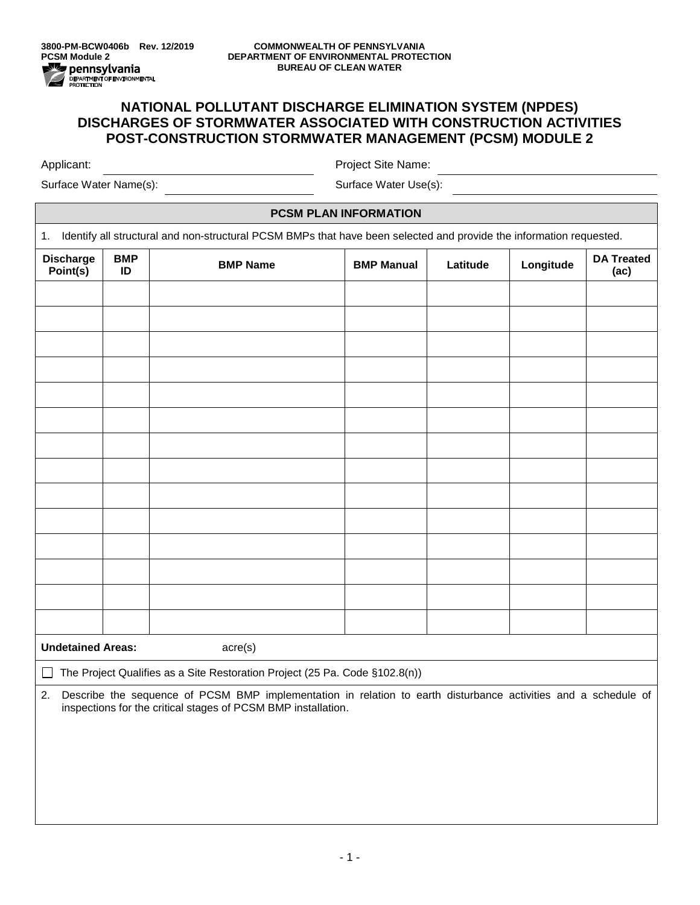## **NATIONAL POLLUTANT DISCHARGE ELIMINATION SYSTEM (NPDES) DISCHARGES OF STORMWATER ASSOCIATED WITH CONSTRUCTION ACTIVITIES POST-CONSTRUCTION STORMWATER MANAGEMENT (PCSM) MODULE 2**

Applicant: Project Site Name:

Surface Water Name(s): Surface Water Use(s):

## **PCSM PLAN INFORMATION**

1. Identify all structural and non-structural PCSM BMPs that have been selected and provide the information requested.

| <b>Discharge</b><br>Point(s)                                                                                                                                                       | <b>BMP</b><br>ID | <b>BMP Name</b> | <b>BMP Manual</b> | Latitude | Longitude | <b>DA Treated</b><br>(ac) |  |
|------------------------------------------------------------------------------------------------------------------------------------------------------------------------------------|------------------|-----------------|-------------------|----------|-----------|---------------------------|--|
|                                                                                                                                                                                    |                  |                 |                   |          |           |                           |  |
|                                                                                                                                                                                    |                  |                 |                   |          |           |                           |  |
|                                                                                                                                                                                    |                  |                 |                   |          |           |                           |  |
|                                                                                                                                                                                    |                  |                 |                   |          |           |                           |  |
|                                                                                                                                                                                    |                  |                 |                   |          |           |                           |  |
|                                                                                                                                                                                    |                  |                 |                   |          |           |                           |  |
|                                                                                                                                                                                    |                  |                 |                   |          |           |                           |  |
|                                                                                                                                                                                    |                  |                 |                   |          |           |                           |  |
|                                                                                                                                                                                    |                  |                 |                   |          |           |                           |  |
|                                                                                                                                                                                    |                  |                 |                   |          |           |                           |  |
|                                                                                                                                                                                    |                  |                 |                   |          |           |                           |  |
|                                                                                                                                                                                    |                  |                 |                   |          |           |                           |  |
|                                                                                                                                                                                    |                  |                 |                   |          |           |                           |  |
|                                                                                                                                                                                    |                  |                 |                   |          |           |                           |  |
| <b>Undetained Areas:</b><br>acre(s)                                                                                                                                                |                  |                 |                   |          |           |                           |  |
| The Project Qualifies as a Site Restoration Project (25 Pa. Code §102.8(n))<br>$\mathsf{L}$                                                                                        |                  |                 |                   |          |           |                           |  |
| 2. Describe the sequence of PCSM BMP implementation in relation to earth disturbance activities and a schedule of<br>inspections for the critical stages of PCSM BMP installation. |                  |                 |                   |          |           |                           |  |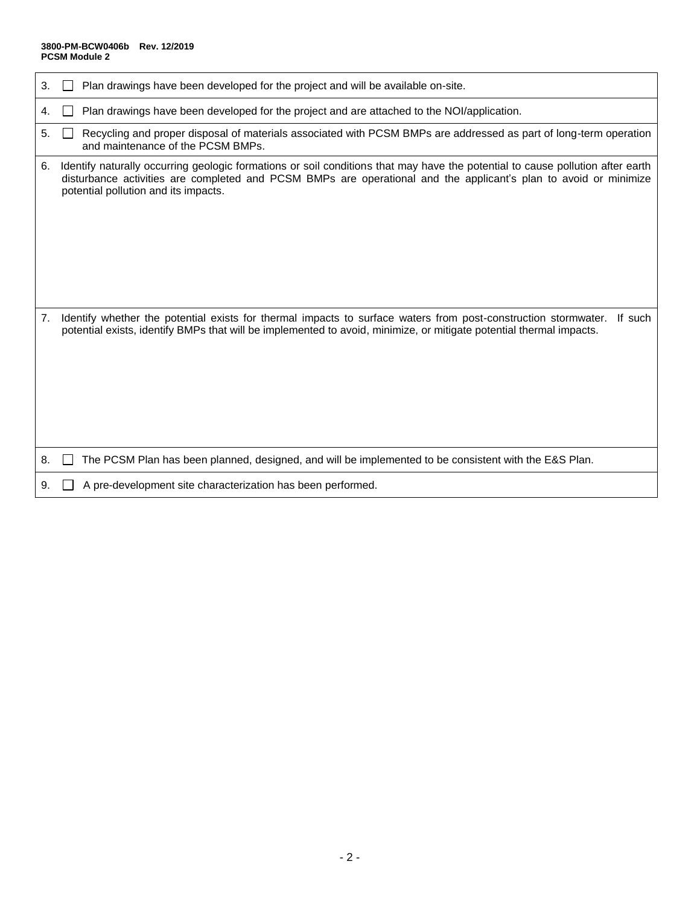## **3800-PM-BCW0406b Rev. 12/2019 PCSM Module 2**

| 3. | Plan drawings have been developed for the project and will be available on-site.                                                                                                                                                                                                           |
|----|--------------------------------------------------------------------------------------------------------------------------------------------------------------------------------------------------------------------------------------------------------------------------------------------|
| 4. | Plan drawings have been developed for the project and are attached to the NOI/application.                                                                                                                                                                                                 |
| 5. | Recycling and proper disposal of materials associated with PCSM BMPs are addressed as part of long-term operation<br>and maintenance of the PCSM BMPs.                                                                                                                                     |
| 6. | Identify naturally occurring geologic formations or soil conditions that may have the potential to cause pollution after earth<br>disturbance activities are completed and PCSM BMPs are operational and the applicant's plan to avoid or minimize<br>potential pollution and its impacts. |
| 7. | Identify whether the potential exists for thermal impacts to surface waters from post-construction stormwater.<br>If such<br>potential exists, identify BMPs that will be implemented to avoid, minimize, or mitigate potential thermal impacts.                                           |
| 8. | The PCSM Plan has been planned, designed, and will be implemented to be consistent with the E&S Plan.                                                                                                                                                                                      |
| 9. | A pre-development site characterization has been performed.                                                                                                                                                                                                                                |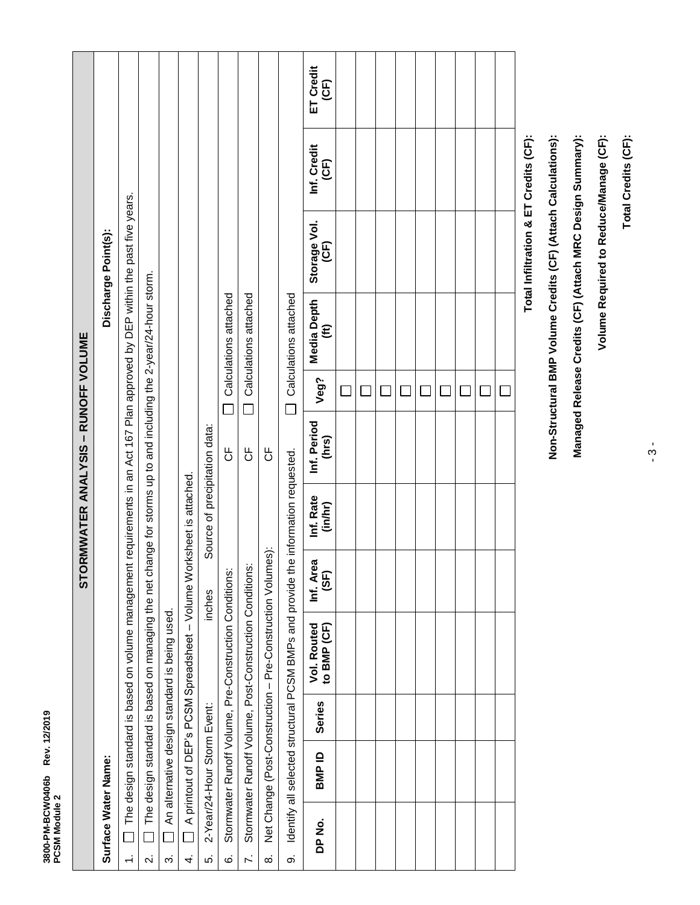| 3800-PM-BCW0406b<br>PCSM Module 2 |                             | Rev. 12/2019  |                                                                                                                               |                   |                               |                                  |                          |                       |                      |                     |                   |
|-----------------------------------|-----------------------------|---------------|-------------------------------------------------------------------------------------------------------------------------------|-------------------|-------------------------------|----------------------------------|--------------------------|-----------------------|----------------------|---------------------|-------------------|
|                                   |                             |               |                                                                                                                               | STO               |                               | RMWATER ANALYSIS - RUNOFF VOLUME |                          |                       |                      |                     |                   |
| Surface Water Name:               |                             |               |                                                                                                                               |                   |                               |                                  |                          |                       | Discharge Point(s):  |                     |                   |
| $\Box$<br>$\div$                  |                             |               | The design standard is based on volume management requirements in an Act 167 Plan approved by DEP within the past five years. |                   |                               |                                  |                          |                       |                      |                     |                   |
| $\overline{\mathbf{v}}$           |                             |               | The design standard is based on managing the net change for storms up to and including the 2-year/24-hour storm.              |                   |                               |                                  |                          |                       |                      |                     |                   |
| $\dot{\infty}$                    |                             |               | An alternative design standard is being used.                                                                                 |                   |                               |                                  |                          |                       |                      |                     |                   |
| 4.                                |                             |               | A printout of DEP's PCSM Spreadsheet - Volume Worksheet is attached.                                                          |                   |                               |                                  |                          |                       |                      |                     |                   |
| ιó.                               | 2-Year/24-Hour Storm Event: |               |                                                                                                                               | inches            | Source of precipitation data: |                                  |                          |                       |                      |                     |                   |
| Ġ                                 |                             |               | Stormwater Runoff Volume, Pre-Construction Conditions:                                                                        |                   |                               | 5                                |                          | Calculations attached |                      |                     |                   |
| $\ddot{\sim}$                     |                             |               | Stormwater Runoff Volume, Post-Construction Conditions:                                                                       |                   |                               | 5                                |                          | Calculations attached |                      |                     |                   |
| $\dot{\infty}$                    |                             |               | Net Change (Post-Construction - Pre-Construction Volumes):                                                                    |                   |                               | ს<br>ს                           |                          |                       |                      |                     |                   |
| တ                                 |                             |               | Identify all selected structural PCSM BMPs and provide the information requested.                                             |                   |                               |                                  | $\overline{\phantom{0}}$ | Calculations attached |                      |                     |                   |
| DP No.                            | BMP ID                      | <b>Series</b> | Vol. Routed<br>to BMP (CF)                                                                                                    | Inf. Area<br>(SF) | Inf. Rate<br>(in/hr)          | Inf. Period<br>(hrs)             | Veg?                     | Media Depth<br>(ft)   | Storage Vol.<br>(CF) | Inf. Credit<br>(CF) | ET Credit<br>(CF) |
|                                   |                             |               |                                                                                                                               |                   |                               |                                  |                          |                       |                      |                     |                   |
|                                   |                             |               |                                                                                                                               |                   |                               |                                  |                          |                       |                      |                     |                   |
|                                   |                             |               |                                                                                                                               |                   |                               |                                  |                          |                       |                      |                     |                   |
|                                   |                             |               |                                                                                                                               |                   |                               |                                  |                          |                       |                      |                     |                   |
|                                   |                             |               |                                                                                                                               |                   |                               |                                  |                          |                       |                      |                     |                   |
|                                   |                             |               |                                                                                                                               |                   |                               |                                  |                          |                       |                      |                     |                   |
|                                   |                             |               |                                                                                                                               |                   |                               |                                  |                          |                       |                      |                     |                   |
|                                   |                             |               |                                                                                                                               |                   |                               |                                  |                          |                       |                      |                     |                   |
|                                   |                             |               |                                                                                                                               |                   |                               |                                  | $\Box$                   |                       |                      |                     |                   |

Total Infiltration & ET Credits (CF): **Total Infiltration & ET Credits (CF):**

**Non-Structural BMP Volume Credits (CF) (Attach Calculations):**

Non-Structural BMP Volume Credits (CF) (Attach Calculations):

**Managed Release Credits (CF) (Attach MRC Design Summary):**

Managed Release Credits (CF) (Attach MRC Design Summary):

- 3 -

Total Credits (CF): **Total Credits (CF):**

**Volume Required to Reduce/Manage (CF):**

Volume Required to Reduce/Manage (CF):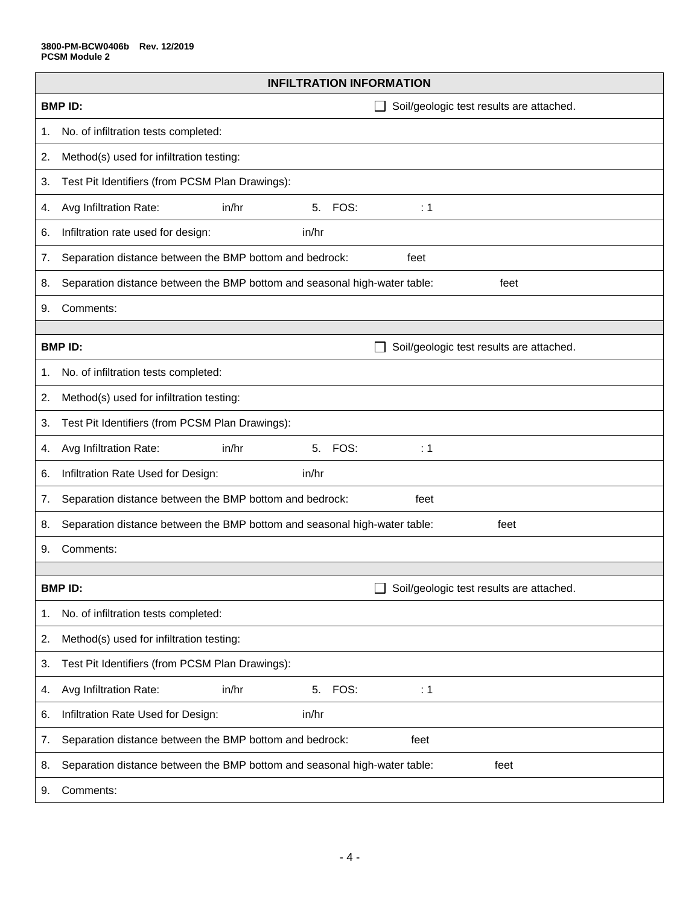| <b>INFILTRATION INFORMATION</b> |                                                                                   |  |  |  |  |  |  |  |
|---------------------------------|-----------------------------------------------------------------------------------|--|--|--|--|--|--|--|
|                                 | <b>BMPID:</b><br>Soil/geologic test results are attached.                         |  |  |  |  |  |  |  |
| 1.                              | No. of infiltration tests completed:                                              |  |  |  |  |  |  |  |
| 2.                              | Method(s) used for infiltration testing:                                          |  |  |  |  |  |  |  |
| 3.                              | Test Pit Identifiers (from PCSM Plan Drawings):                                   |  |  |  |  |  |  |  |
| 4.                              | FOS:<br>Avg Infiltration Rate:<br>in/hr<br>5.<br>$\div$ 1                         |  |  |  |  |  |  |  |
| 6.                              | Infiltration rate used for design:<br>in/hr                                       |  |  |  |  |  |  |  |
| 7.                              | Separation distance between the BMP bottom and bedrock:<br>feet                   |  |  |  |  |  |  |  |
| 8.                              | Separation distance between the BMP bottom and seasonal high-water table:<br>feet |  |  |  |  |  |  |  |
| 9.                              | Comments:                                                                         |  |  |  |  |  |  |  |
|                                 |                                                                                   |  |  |  |  |  |  |  |
|                                 | <b>BMPID:</b><br>Soil/geologic test results are attached.                         |  |  |  |  |  |  |  |
| 1.                              | No. of infiltration tests completed:                                              |  |  |  |  |  |  |  |
| 2.                              | Method(s) used for infiltration testing:                                          |  |  |  |  |  |  |  |
| 3.                              | Test Pit Identifiers (from PCSM Plan Drawings):                                   |  |  |  |  |  |  |  |
| 4.                              | 5 <sub>1</sub><br>FOS:<br>Avg Infiltration Rate:<br>in/hr<br>$\div$ 1             |  |  |  |  |  |  |  |
| 6.                              | Infiltration Rate Used for Design:<br>in/hr                                       |  |  |  |  |  |  |  |
| 7.                              | Separation distance between the BMP bottom and bedrock:<br>feet                   |  |  |  |  |  |  |  |
| 8.                              | Separation distance between the BMP bottom and seasonal high-water table:<br>feet |  |  |  |  |  |  |  |
| 9.                              | Comments:                                                                         |  |  |  |  |  |  |  |
|                                 |                                                                                   |  |  |  |  |  |  |  |
|                                 | <b>BMPID:</b><br>Soil/geologic test results are attached.                         |  |  |  |  |  |  |  |
| 1.                              | No. of infiltration tests completed:                                              |  |  |  |  |  |  |  |
| 2.                              | Method(s) used for infiltration testing:                                          |  |  |  |  |  |  |  |
| 3.                              | Test Pit Identifiers (from PCSM Plan Drawings):                                   |  |  |  |  |  |  |  |
| 4.                              | Avg Infiltration Rate:<br>in/hr<br>FOS:<br>5.<br>$\therefore$ 1                   |  |  |  |  |  |  |  |
| 6.                              | Infiltration Rate Used for Design:<br>in/hr                                       |  |  |  |  |  |  |  |
| 7.                              | Separation distance between the BMP bottom and bedrock:<br>feet                   |  |  |  |  |  |  |  |
| 8.                              | Separation distance between the BMP bottom and seasonal high-water table:<br>feet |  |  |  |  |  |  |  |
| 9.                              | Comments:                                                                         |  |  |  |  |  |  |  |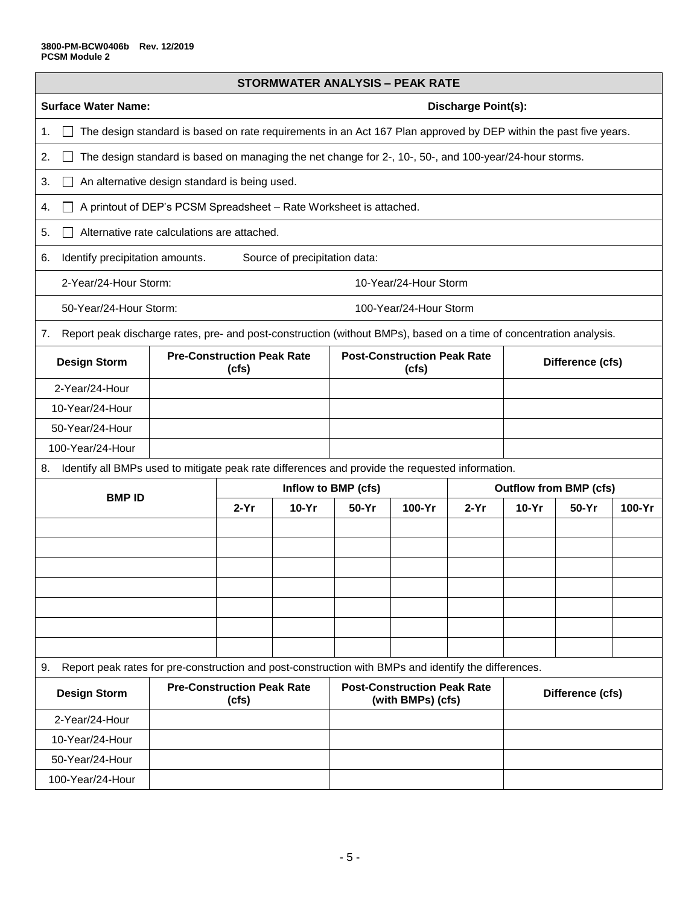| <b>STORMWATER ANALYSIS - PEAK RATE</b>                                                                                   |                                                                                                                  |                                                      |         |                                                                             |        |                                                                                                        |         |         |        |  |  |  |
|--------------------------------------------------------------------------------------------------------------------------|------------------------------------------------------------------------------------------------------------------|------------------------------------------------------|---------|-----------------------------------------------------------------------------|--------|--------------------------------------------------------------------------------------------------------|---------|---------|--------|--|--|--|
| <b>Surface Water Name:</b>                                                                                               |                                                                                                                  |                                                      |         | <b>Discharge Point(s):</b>                                                  |        |                                                                                                        |         |         |        |  |  |  |
| 1.                                                                                                                       | The design standard is based on rate requirements in an Act 167 Plan approved by DEP within the past five years. |                                                      |         |                                                                             |        |                                                                                                        |         |         |        |  |  |  |
| 2.                                                                                                                       |                                                                                                                  |                                                      |         |                                                                             |        | The design standard is based on managing the net change for 2-, 10-, 50-, and 100-year/24-hour storms. |         |         |        |  |  |  |
| An alternative design standard is being used.<br>3.                                                                      |                                                                                                                  |                                                      |         |                                                                             |        |                                                                                                        |         |         |        |  |  |  |
| 4.                                                                                                                       | A printout of DEP's PCSM Spreadsheet - Rate Worksheet is attached.                                               |                                                      |         |                                                                             |        |                                                                                                        |         |         |        |  |  |  |
| Alternative rate calculations are attached.<br>5.                                                                        |                                                                                                                  |                                                      |         |                                                                             |        |                                                                                                        |         |         |        |  |  |  |
| Identify precipitation amounts.<br>Source of precipitation data:<br>6.                                                   |                                                                                                                  |                                                      |         |                                                                             |        |                                                                                                        |         |         |        |  |  |  |
| 2-Year/24-Hour Storm:                                                                                                    | 10-Year/24-Hour Storm                                                                                            |                                                      |         |                                                                             |        |                                                                                                        |         |         |        |  |  |  |
| 50-Year/24-Hour Storm:                                                                                                   |                                                                                                                  |                                                      |         | 100-Year/24-Hour Storm                                                      |        |                                                                                                        |         |         |        |  |  |  |
| Report peak discharge rates, pre- and post-construction (without BMPs), based on a time of concentration analysis.<br>7. |                                                                                                                  |                                                      |         |                                                                             |        |                                                                                                        |         |         |        |  |  |  |
| <b>Pre-Construction Peak Rate</b><br><b>Design Storm</b><br>(cfs)                                                        |                                                                                                                  |                                                      |         | <b>Post-Construction Peak Rate</b><br>Difference (cfs)<br>(cfs)             |        |                                                                                                        |         |         |        |  |  |  |
| 2-Year/24-Hour                                                                                                           |                                                                                                                  |                                                      |         |                                                                             |        |                                                                                                        |         |         |        |  |  |  |
| 10-Year/24-Hour                                                                                                          |                                                                                                                  |                                                      |         |                                                                             |        |                                                                                                        |         |         |        |  |  |  |
| 50-Year/24-Hour                                                                                                          |                                                                                                                  |                                                      |         |                                                                             |        |                                                                                                        |         |         |        |  |  |  |
| 100-Year/24-Hour                                                                                                         |                                                                                                                  |                                                      |         |                                                                             |        |                                                                                                        |         |         |        |  |  |  |
| Identify all BMPs used to mitigate peak rate differences and provide the requested information.<br>8.                    |                                                                                                                  |                                                      |         |                                                                             |        |                                                                                                        |         |         |        |  |  |  |
| <b>BMPID</b>                                                                                                             |                                                                                                                  | Inflow to BMP (cfs)<br><b>Outflow from BMP (cfs)</b> |         |                                                                             |        |                                                                                                        |         |         |        |  |  |  |
|                                                                                                                          |                                                                                                                  | $2-Yr$                                               | $10-Yr$ | 50-Yr                                                                       | 100-Yr | $2-Yr$                                                                                                 | $10-Yr$ | $50-Yr$ | 100-Yr |  |  |  |
|                                                                                                                          |                                                                                                                  |                                                      |         |                                                                             |        |                                                                                                        |         |         |        |  |  |  |
|                                                                                                                          |                                                                                                                  |                                                      |         |                                                                             |        |                                                                                                        |         |         |        |  |  |  |
|                                                                                                                          |                                                                                                                  |                                                      |         |                                                                             |        |                                                                                                        |         |         |        |  |  |  |
|                                                                                                                          |                                                                                                                  |                                                      |         |                                                                             |        |                                                                                                        |         |         |        |  |  |  |
|                                                                                                                          |                                                                                                                  |                                                      |         |                                                                             |        |                                                                                                        |         |         |        |  |  |  |
|                                                                                                                          |                                                                                                                  |                                                      |         |                                                                             |        |                                                                                                        |         |         |        |  |  |  |
|                                                                                                                          |                                                                                                                  |                                                      |         |                                                                             |        |                                                                                                        |         |         |        |  |  |  |
| Report peak rates for pre-construction and post-construction with BMPs and identify the differences.<br>9.               |                                                                                                                  |                                                      |         |                                                                             |        |                                                                                                        |         |         |        |  |  |  |
| <b>Design Storm</b>                                                                                                      |                                                                                                                  | <b>Pre-Construction Peak Rate</b><br>(cfs)           |         | <b>Post-Construction Peak Rate</b><br>Difference (cfs)<br>(with BMPs) (cfs) |        |                                                                                                        |         |         |        |  |  |  |
| 2-Year/24-Hour                                                                                                           |                                                                                                                  |                                                      |         |                                                                             |        |                                                                                                        |         |         |        |  |  |  |
| 10-Year/24-Hour                                                                                                          |                                                                                                                  |                                                      |         |                                                                             |        |                                                                                                        |         |         |        |  |  |  |
| 50-Year/24-Hour                                                                                                          |                                                                                                                  |                                                      |         |                                                                             |        |                                                                                                        |         |         |        |  |  |  |
| 100-Year/24-Hour                                                                                                         |                                                                                                                  |                                                      |         |                                                                             |        |                                                                                                        |         |         |        |  |  |  |